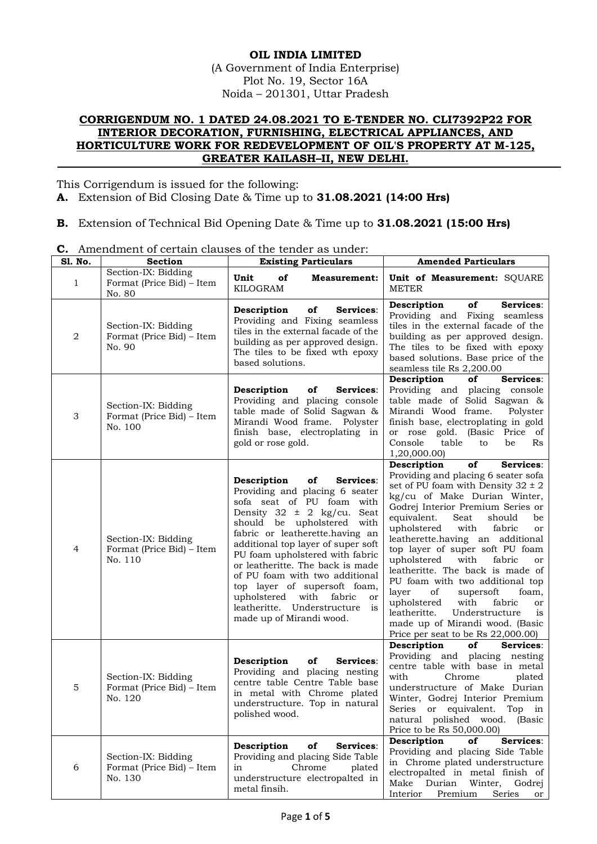## **OIL INDIA LIMITED** (A Government of India Enterprise) Plot No. 19, Sector 16A Noida – 201301, Uttar Pradesh

## **CORRIGENDUM NO. 1 DATED 24.08.2021 TO E-TENDER NO. CLI7392P22 FOR INTERIOR DECORATION, FURNISHING, ELECTRICAL APPLIANCES, AND HORTICULTURE WORK FOR REDEVELOPMENT OF OIL'S PROPERTY AT M-125, GREATER KAILASH–II, NEW DELHI.**

This Corrigendum is issued for the following:

- **A.** Extension of Bid Closing Date & Time up to **31.08.2021 (14:00 Hrs)**
- **B.** Extension of Technical Bid Opening Date & Time up to **31.08.2021 (15:00 Hrs)**

**C.** Amendment of certain clauses of the tender as under:

| Sl. No.          | <b>Section</b>                                              | <b>Existing Particulars</b>                                                                                                                                                                                                                                                                                                                                                                                                                                                          | <b>Amended Particulars</b>                                                                                                                                                                                                                                                                                                                                                                                                                                                                                                                                                                                                                            |
|------------------|-------------------------------------------------------------|--------------------------------------------------------------------------------------------------------------------------------------------------------------------------------------------------------------------------------------------------------------------------------------------------------------------------------------------------------------------------------------------------------------------------------------------------------------------------------------|-------------------------------------------------------------------------------------------------------------------------------------------------------------------------------------------------------------------------------------------------------------------------------------------------------------------------------------------------------------------------------------------------------------------------------------------------------------------------------------------------------------------------------------------------------------------------------------------------------------------------------------------------------|
| $\mathbf{1}$     | Section-IX: Bidding<br>Format (Price Bid) – Item<br>No. 80  | Unit<br>of<br><b>Measurement:</b><br>KILOGRAM                                                                                                                                                                                                                                                                                                                                                                                                                                        | Unit of Measurement: SQUARE<br><b>METER</b>                                                                                                                                                                                                                                                                                                                                                                                                                                                                                                                                                                                                           |
| $\boldsymbol{2}$ | Section-IX: Bidding<br>Format (Price Bid) – Item<br>No. 90  | Description<br>of<br>Services:<br>Providing and Fixing seamless<br>tiles in the external facade of the<br>building as per approved design.<br>The tiles to be fixed wth epoxy<br>based solutions.                                                                                                                                                                                                                                                                                    | Services:<br>Description<br>of<br>Providing and Fixing seamless<br>tiles in the external facade of the<br>building as per approved design.<br>The tiles to be fixed with epoxy<br>based solutions. Base price of the<br>seamless tile Rs 2,200.00                                                                                                                                                                                                                                                                                                                                                                                                     |
| 3                | Section-IX: Bidding<br>Format (Price Bid) – Item<br>No. 100 | Description<br>of<br>Services:<br>Providing and placing console<br>table made of Solid Sagwan &<br>Mirandi Wood frame. Polyster<br>finish base, electroplating in<br>gold or rose gold.                                                                                                                                                                                                                                                                                              | Description<br>Services:<br>of<br>Providing and placing console<br>table made of Solid Sagwan &<br>Mirandi Wood frame.<br>Polyster<br>finish base, electroplating in gold<br>or rose gold. (Basic Price of<br>Console<br>table<br>to<br>be<br><b>Rs</b><br>1,20,000.00)                                                                                                                                                                                                                                                                                                                                                                               |
| 4                | Section-IX: Bidding<br>Format (Price Bid) – Item<br>No. 110 | Description<br>of<br>Services:<br>Providing and placing 6 seater<br>sofa seat of PU foam with<br>Density $32 \pm 2$ kg/cu. Seat<br>should be upholstered with<br>fabric or leatherette.having an<br>additional top layer of super soft<br>PU foam upholstered with fabric<br>or leatheritte. The back is made<br>of PU foam with two additional<br>top layer of supersoft foam,<br>upholstered with<br>fabric<br>or<br>leatheritte. Understructure<br>is<br>made up of Mirandi wood. | Description<br>of<br>Services:<br>Providing and placing 6 seater sofa<br>set of PU foam with Density $32 \pm 2$<br>kg/cu of Make Durian Winter,<br>Godrej Interior Premium Series or<br>equivalent.<br>Seat<br>should<br>be<br>with<br>upholstered<br>fabric<br>or<br>leatherette.having an additional<br>top layer of super soft PU foam<br>with<br>upholstered<br>fabric<br>or<br>leatheritte. The back is made of<br>PU foam with two additional top<br>layer<br>of<br>supersoft<br>foam,<br>with<br>upholstered<br>fabric<br>or<br>leatheritte.<br>Understructure<br>is<br>made up of Mirandi wood. (Basic<br>Price per seat to be Rs $22,000.00$ |
| 5                | Section-IX: Bidding<br>Format (Price Bid) – Item<br>No. 120 | Description<br>of<br>Services:<br>Providing and placing nesting<br>centre table Centre Table base<br>in metal with Chrome plated<br>understructure. Top in natural<br>polished wood.                                                                                                                                                                                                                                                                                                 | Services:<br>Description<br>of<br>Providing and placing nesting<br>centre table with base in metal<br>with<br>Chrome<br>plated<br>understructure of Make Durian<br>Winter, Godrej Interior Premium<br>Series or equivalent. Top in<br>natural polished wood. (Basic<br>Price to be Rs 50,000.00)                                                                                                                                                                                                                                                                                                                                                      |
| 6                | Section-IX: Bidding<br>Format (Price Bid) – Item<br>No. 130 | of<br>Services:<br>Description<br>Providing and placing Side Table<br>Chrome<br>in<br>plated<br>understructure electropalted in<br>metal finsih.                                                                                                                                                                                                                                                                                                                                     | Description<br>of<br>Services:<br>Providing and placing Side Table<br>in Chrome plated understructure<br>electropalted in metal finish of<br>Durian<br>Make<br>Winter,<br>Godrej<br>Premium<br>Interior<br>Series<br>or                                                                                                                                                                                                                                                                                                                                                                                                                               |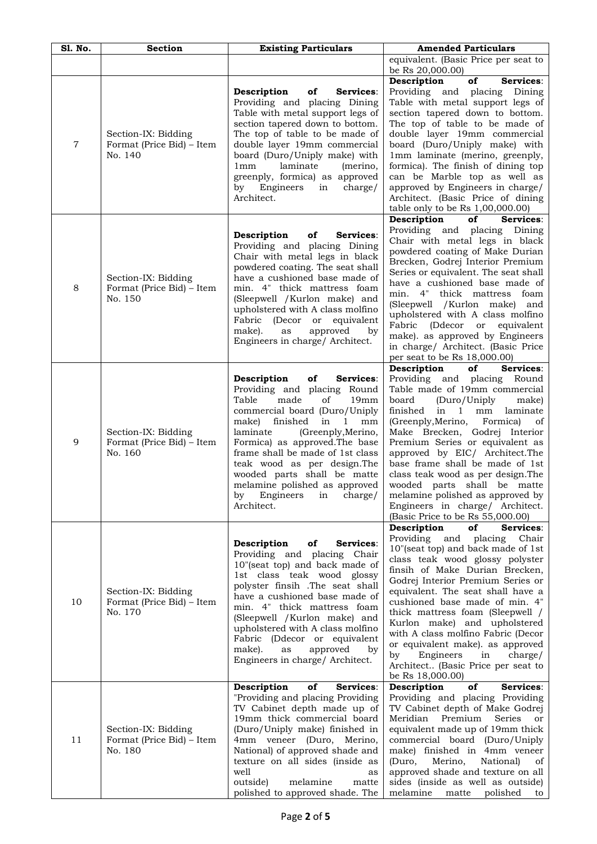| S1. No.        | <b>Section</b>                                              | <b>Existing Particulars</b>                                                                                                                                                                                                                                                                                                                                                                                                  | <b>Amended Particulars</b>                                                                                                                                                                                                                                                                                                                                                                                                                                                                                                                           |
|----------------|-------------------------------------------------------------|------------------------------------------------------------------------------------------------------------------------------------------------------------------------------------------------------------------------------------------------------------------------------------------------------------------------------------------------------------------------------------------------------------------------------|------------------------------------------------------------------------------------------------------------------------------------------------------------------------------------------------------------------------------------------------------------------------------------------------------------------------------------------------------------------------------------------------------------------------------------------------------------------------------------------------------------------------------------------------------|
|                |                                                             |                                                                                                                                                                                                                                                                                                                                                                                                                              | equivalent. (Basic Price per seat to<br>be Rs 20,000.00)                                                                                                                                                                                                                                                                                                                                                                                                                                                                                             |
| $\overline{7}$ | Section-IX: Bidding<br>Format (Price Bid) - Item<br>No. 140 | Description<br>of<br>Services:<br>Providing and placing Dining<br>Table with metal support legs of<br>section tapered down to bottom.<br>The top of table to be made of<br>double layer 19mm commercial<br>board (Duro/Uniply make) with<br>1 <sub>mm</sub><br>laminate<br>(merino,<br>greenply, formica) as approved<br>Engineers<br>charge/<br>by<br>in<br>Architect.                                                      | of<br>Services:<br>Description<br>Providing and placing Dining<br>Table with metal support legs of<br>section tapered down to bottom.<br>The top of table to be made of<br>double layer 19mm commercial<br>board (Duro/Uniply make) with<br>1mm laminate (merino, greenply,<br>formica). The finish of dining top<br>can be Marble top as well as<br>approved by Engineers in charge/<br>Architect. (Basic Price of dining<br>table only to be Rs 1,00,000.00)                                                                                       |
| 8              | Section-IX: Bidding<br>Format (Price Bid) - Item<br>No. 150 | Description<br>of<br>Services:<br>Providing and placing Dining<br>Chair with metal legs in black<br>powdered coating. The seat shall<br>have a cushioned base made of<br>min. 4" thick mattress foam<br>(Sleepwell /Kurlon make) and<br>upholstered with A class molfino<br>Fabric<br>(Decor or<br>equivalent<br>approved<br>make).<br>as<br>by<br>Engineers in charge/ Architect.                                           | Description<br>Services:<br>of<br>Providing and placing Dining<br>Chair with metal legs in black<br>powdered coating of Make Durian<br>Brecken, Godrej Interior Premium<br>Series or equivalent. The seat shall<br>have a cushioned base made of<br>min. 4" thick mattress foam<br>(Sleepwell /Kurlon make) and<br>upholstered with A class molfino<br>Fabric (Ddecor or<br>equivalent<br>make). as approved by Engineers<br>in charge/ Architect. (Basic Price<br>per seat to be Rs 18,000.00)                                                      |
| 9              | Section-IX: Bidding<br>Format (Price Bid) – Item<br>No. 160 | Services:<br>Description<br>оf<br>Providing and placing Round<br>made<br>Table<br>οf<br>19mm<br>commercial board (Duro/Uniply<br>make)<br>finished<br>in<br>1<br>mm<br>laminate<br>(Greenply, Merino,<br>Formica) as approved. The base<br>frame shall be made of 1st class<br>teak wood as per design.The<br>wooded parts shall be matte<br>melamine polished as approved<br>Engineers<br>charge/<br>by<br>1n<br>Architect. | Description<br>of<br>Services:<br>Providing and placing Round<br>Table made of 19mm commercial<br>board<br>(Duro/Uniply<br>make)<br>finished<br>in<br>mm<br>laminate<br>$\mathbf{1}$<br>(Greenply, Merino,<br>Formica)<br>of<br>Make Brecken, Godrej Interior<br>Premium Series or equivalent as<br>approved by EIC/ Architect.The<br>base frame shall be made of 1st<br>class teak wood as per design.The<br>wooded parts shall be matte<br>melamine polished as approved by<br>Engineers in charge/ Architect.<br>(Basic Price to be Rs 55,000.00) |
| 10             | Section-IX: Bidding<br>Format (Price Bid) – Item<br>No. 170 | of<br>Services:<br>Description<br>Providing and placing Chair<br>10"(seat top) and back made of<br>1st class teak wood glossy<br>polyster finsih .The seat shall<br>have a cushioned base made of<br>min. 4" thick mattress foam<br>(Sleepwell /Kurlon make) and<br>upholstered with A class molfino<br>Fabric (Ddecor or equivalent<br>make).<br>approved<br>as<br>by<br>Engineers in charge/ Architect.                    | Description<br>of<br>Services:<br>Providing<br>and<br>Chair<br>placing<br>10"(seat top) and back made of 1st<br>class teak wood glossy polyster<br>finsih of Make Durian Brecken,<br>Godrej Interior Premium Series or<br>equivalent. The seat shall have a<br>cushioned base made of min. 4"<br>thick mattress foam (Sleepwell /<br>Kurlon make) and upholstered<br>with A class molfino Fabric (Decor<br>or equivalent make). as approved<br>Engineers<br>in<br>by<br>charge/<br>Architect (Basic Price per seat to<br>be Rs 18,000.00)            |
| 11             | Section-IX: Bidding<br>Format (Price Bid) – Item<br>No. 180 | Description<br>of<br>Services:<br>"Providing and placing Providing<br>TV Cabinet depth made up of<br>19mm thick commercial board<br>(Duro/Uniply make) finished in<br>4mm veneer (Duro, Merino,<br>National) of approved shade and<br>texture on all sides (inside as<br>well<br>as<br>outside)<br>melamine<br>matte<br>polished to approved shade. The                                                                      | of<br>Services:<br>Description<br>Providing and placing Providing<br>TV Cabinet depth of Make Godrej<br>Premium<br>Meridian<br>Series<br><sub>or</sub><br>equivalent made up of 19mm thick<br>commercial board (Duro/Uniply<br>make) finished in 4mm veneer<br>(Duro,<br>Merino,<br>National)<br>of<br>approved shade and texture on all<br>sides (inside as well as outside)<br>melamine matte<br>polished<br>to                                                                                                                                    |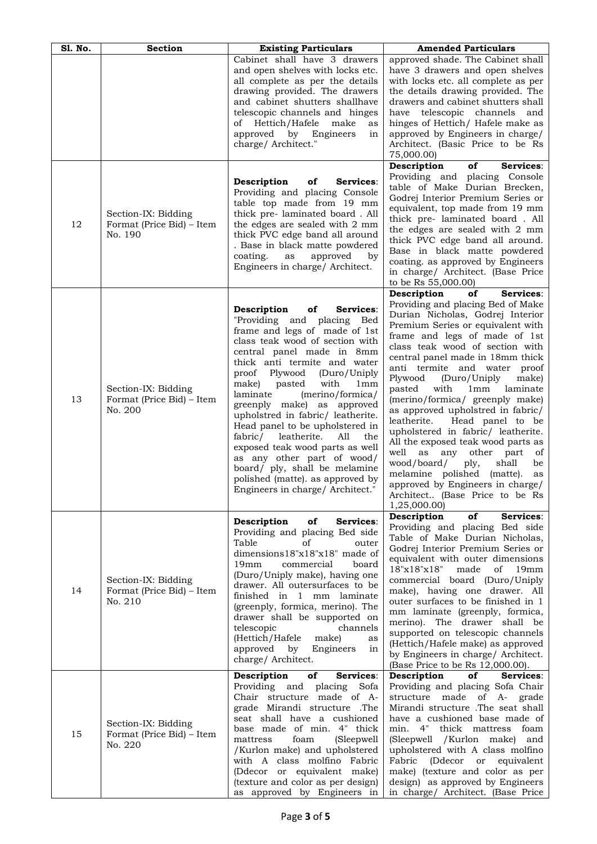| <b>S1. No.</b> | <b>Section</b>                                              | <b>Existing Particulars</b>                                                                                                                                                                                                                                                                                                                                                                                                                                                                                                                                                                                                     | <b>Amended Particulars</b>                                                                                                                                                                                                                                                                                                                                                                                                                                                                                                                                                                                                                                                                                                                                 |
|----------------|-------------------------------------------------------------|---------------------------------------------------------------------------------------------------------------------------------------------------------------------------------------------------------------------------------------------------------------------------------------------------------------------------------------------------------------------------------------------------------------------------------------------------------------------------------------------------------------------------------------------------------------------------------------------------------------------------------|------------------------------------------------------------------------------------------------------------------------------------------------------------------------------------------------------------------------------------------------------------------------------------------------------------------------------------------------------------------------------------------------------------------------------------------------------------------------------------------------------------------------------------------------------------------------------------------------------------------------------------------------------------------------------------------------------------------------------------------------------------|
|                |                                                             | Cabinet shall have 3 drawers<br>and open shelves with locks etc.<br>all complete as per the details<br>drawing provided. The drawers<br>and cabinet shutters shallhave<br>telescopic channels and hinges<br>of Hettich/Hafele<br>make<br>as<br>approved<br>by Engineers<br>in<br>charge/ Architect."                                                                                                                                                                                                                                                                                                                            | approved shade. The Cabinet shall<br>have 3 drawers and open shelves<br>with locks etc. all complete as per<br>the details drawing provided. The<br>drawers and cabinet shutters shall<br>have telescopic channels and<br>hinges of Hettich/ Hafele make as<br>approved by Engineers in charge/<br>Architect. (Basic Price to be Rs<br>75,000.00)                                                                                                                                                                                                                                                                                                                                                                                                          |
| 12             | Section-IX: Bidding<br>Format (Price Bid) – Item<br>No. 190 | Description<br>Services:<br>оf<br>Providing and placing Console<br>table top made from 19 mm<br>thick pre- laminated board. All<br>the edges are sealed with 2 mm<br>thick PVC edge band all around<br>. Base in black matte powdered<br>coating.<br>as<br>approved<br>by<br>Engineers in charge/ Architect.                                                                                                                                                                                                                                                                                                                    | of<br>Services:<br>Description<br>Providing and placing Console<br>table of Make Durian Brecken,<br>Godrej Interior Premium Series or<br>equivalent, top made from 19 mm<br>thick pre-laminated board. All<br>the edges are sealed with 2 mm<br>thick PVC edge band all around.<br>Base in black matte powdered<br>coating. as approved by Engineers<br>in charge/ Architect. (Base Price<br>to be Rs 55,000.00)                                                                                                                                                                                                                                                                                                                                           |
| 13             | Section-IX: Bidding<br>Format (Price Bid) – Item<br>No. 200 | Description<br>оf<br><b>Services:</b><br>"Providing and placing Bed<br>frame and legs of made of 1st<br>class teak wood of section with<br>central panel made in 8mm<br>thick anti termite and water<br>proof Plywood<br>(Duro/Uniply<br>with<br>make)<br>pasted<br>1mm<br>(merino/formica/<br>laminate<br>greenply make) as approved<br>upholstred in fabric/ leatherite.<br>Head panel to be upholstered in<br>All<br>fabric/<br>leatherite.<br>the<br>exposed teak wood parts as well<br>as any other part of wood/<br>board/ ply, shall be melamine<br>polished (matte). as approved by<br>Engineers in charge/ Architect." | Description<br>of<br>Services:<br>Providing and placing Bed of Make<br>Durian Nicholas, Godrej Interior<br>Premium Series or equivalent with<br>frame and legs of made of 1st<br>class teak wood of section with<br>central panel made in 18mm thick<br>anti termite and water proof<br>Plywood<br>(Duro/Uniply<br>make)<br>with<br>laminate<br>pasted<br>1mm<br>(merino/formica/ greenply make)<br>as approved upholstred in fabric/<br>leatherite.<br>Head panel to be<br>upholstered in fabric/ leatherite.<br>All the exposed teak wood parts as<br>well as<br>other part<br>any<br>οf<br>shall<br>wood/board/<br>ply,<br>be<br>melamine polished (matte).<br>as<br>approved by Engineers in charge/<br>Architect (Base Price to be Rs<br>1,25,000.00) |
| 14             | Section-IX: Bidding<br>Format (Price Bid) – Item<br>No. 210 | Description<br>of<br>Services:<br>Providing and placing Bed side<br>Table<br>οf<br>outer<br>dimensions18"x18"x18" made of<br>19mm<br>commercial<br>board<br>(Duro/Uniply make), having one<br>drawer. All outersurfaces to be<br>finished in 1 mm laminate<br>(greenply, formica, merino). The<br>drawer shall be supported on<br>telescopic<br>channels<br>(Hettich/Hafele make)<br>as<br>approved<br>Engineers<br>by<br>in<br>charge/ Architect.                                                                                                                                                                              | Description<br>of<br>Services:<br>Providing and placing Bed side<br>Table of Make Durian Nicholas,<br>Godrej Interior Premium Series or<br>equivalent with outer dimensions<br>18"x18"x18"<br>made<br>of<br>19mm<br>commercial board (Duro/Uniply<br>make), having one drawer. All<br>outer surfaces to be finished in 1<br>mm laminate (greenply, formica,<br>merino). The drawer shall be<br>supported on telescopic channels<br>(Hettich/Hafele make) as approved<br>by Engineers in charge/ Architect.<br>(Base Price to be Rs 12,000.00).                                                                                                                                                                                                             |
| 15             | Section-IX: Bidding<br>Format (Price Bid) – Item<br>No. 220 | Services:<br>Description<br>of<br>Providing and<br>placing Sofa<br>Chair structure made of A-<br>grade Mirandi structure .The<br>seat shall have a cushioned<br>base made of min. 4" thick<br>mattress<br>foam<br>(Sleepwell)<br>/Kurlon make) and upholstered<br>with A class molfino Fabric<br>(Ddecor or equivalent make)<br>(texture and color as per design)<br>as approved by Engineers in                                                                                                                                                                                                                                | Description<br>of<br>Services:<br>Providing and placing Sofa Chair<br>structure made of A-<br>grade<br>Mirandi structure .The seat shall<br>have a cushioned base made of<br>min. 4" thick mattress foam<br>(Sleepwell / Kurlon make) and<br>upholstered with A class molfino<br>Fabric<br>(Ddecor or equivalent<br>make) (texture and color as per<br>design) as approved by Engineers<br>in charge/ Architect. (Base Price                                                                                                                                                                                                                                                                                                                               |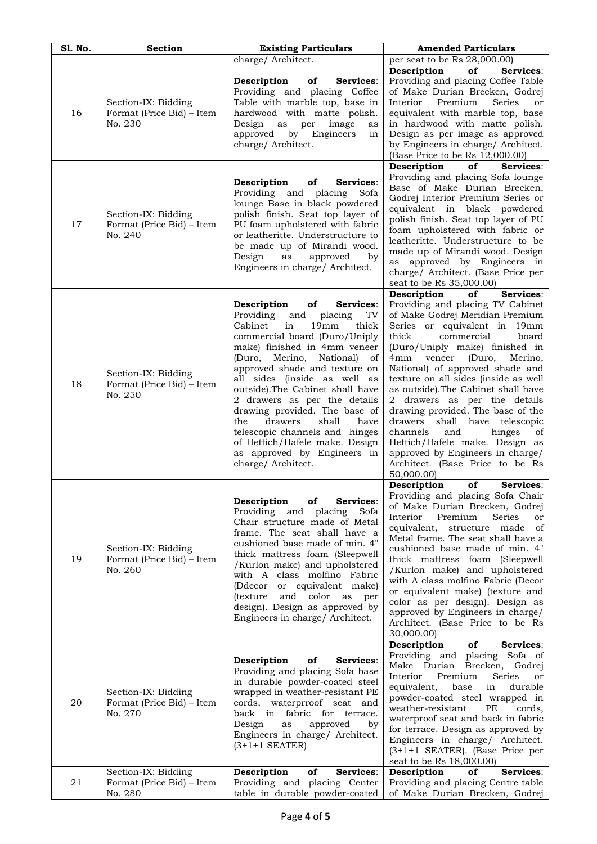| S1. No. | <b>Section</b>                                              | <b>Existing Particulars</b>                                                                                                                                                                                                                                                                                                                                                                                                                                                                                                                 | <b>Amended Particulars</b>                                                                                                                                                                                                                                                                                                                                                                                                                                                                                                                                                                                                         |
|---------|-------------------------------------------------------------|---------------------------------------------------------------------------------------------------------------------------------------------------------------------------------------------------------------------------------------------------------------------------------------------------------------------------------------------------------------------------------------------------------------------------------------------------------------------------------------------------------------------------------------------|------------------------------------------------------------------------------------------------------------------------------------------------------------------------------------------------------------------------------------------------------------------------------------------------------------------------------------------------------------------------------------------------------------------------------------------------------------------------------------------------------------------------------------------------------------------------------------------------------------------------------------|
|         |                                                             | charge/ Architect.                                                                                                                                                                                                                                                                                                                                                                                                                                                                                                                          | per seat to be Rs 28,000.00)                                                                                                                                                                                                                                                                                                                                                                                                                                                                                                                                                                                                       |
| 16      | Section-IX: Bidding<br>Format (Price Bid) – Item<br>No. 230 | Services:<br>Description<br>of<br>Providing and placing Coffee<br>Table with marble top, base in<br>hardwood with matte polish.<br>Design<br>as per<br>image<br>as<br>approved<br>by<br>Engineers<br>in<br>charge/ Architect.                                                                                                                                                                                                                                                                                                               | Description<br>Services:<br>of<br>Providing and placing Coffee Table<br>of Make Durian Brecken, Godrej<br>Interior<br>Premium<br>Series<br>or<br>equivalent with marble top, base<br>in hardwood with matte polish.<br>Design as per image as approved<br>by Engineers in charge/ Architect.<br>(Base Price to be Rs 12,000.00)                                                                                                                                                                                                                                                                                                    |
| 17      | Section-IX: Bidding<br>Format (Price Bid) – Item<br>No. 240 | Description<br>Services:<br>of<br>Providing and<br>placing<br>Sofa<br>lounge Base in black powdered<br>polish finish. Seat top layer of<br>PU foam upholstered with fabric<br>or leatheritte. Understructure to<br>be made up of Mirandi wood.<br>Design<br>as<br>approved<br>by<br>Engineers in charge/ Architect.                                                                                                                                                                                                                         | Description<br>of<br>Services:<br>Providing and placing Sofa lounge<br>Base of Make Durian Brecken,<br>Godrej Interior Premium Series or<br>equivalent in black powdered<br>polish finish. Seat top layer of PU<br>foam upholstered with fabric or<br>leatheritte. Understructure to be<br>made up of Mirandi wood. Design<br>as approved by Engineers in<br>charge/ Architect. (Base Price per<br>seat to be Rs 35,000.00)                                                                                                                                                                                                        |
| 18      | Section-IX: Bidding<br>Format (Price Bid) – Item<br>No. 250 | Description<br>of<br>Services:<br>Providing<br>and<br>TV<br>placing<br>Cabinet<br>in<br>19mm<br>thick<br>commercial board (Duro/Uniply<br>make) finished in 4mm veneer<br>(Duro, Merino, National)<br>- of<br>approved shade and texture on<br>all sides (inside as well as<br>outside).The Cabinet shall have<br>2 drawers as per the details<br>drawing provided. The base of<br>drawers<br>shall<br>have<br>the<br>telescopic channels and hinges<br>of Hettich/Hafele make. Design<br>as approved by Engineers in<br>charge/ Architect. | Description<br>of<br>Services:<br>Providing and placing TV Cabinet<br>of Make Godrej Meridian Premium<br>Series or equivalent in 19mm<br>thick<br>commercial<br>board<br>(Duro/Uniply make) finished in<br>4mm veneer<br>(Duro,<br>Merino,<br>National) of approved shade and<br>texture on all sides (inside as well<br>as outside). The Cabinet shall have<br>2 drawers as per the details<br>drawing provided. The base of the<br>drawers<br>have telescopic<br>shall<br>channels<br>and<br>hinges<br>οf<br>Hettich/Hafele make. Design as<br>approved by Engineers in charge/<br>Architect. (Base Price to be Rs<br>50,000.00) |
| 19      | Section-IX: Bidding<br>Format (Price Bid) – Item<br>No. 260 | Description<br>Services:<br>оf<br>Providing and<br>placing<br>Sofa<br>Chair structure made of Metal<br>frame. The seat shall have a<br>cushioned base made of min. 4"<br>thick mattress foam (Sleepwell<br>/Kurlon make) and upholstered<br>with A class molfino Fabric<br>(Ddecor or equivalent make)<br>and color<br><i>(texture)</i><br>as<br>per<br>design). Design as approved by<br>Engineers in charge/ Architect.                                                                                                                   | Services:<br>Description<br>of<br>Providing and placing Sofa Chair<br>of Make Durian Brecken, Godrej<br>Interior<br>Premium<br>Series<br>or<br>equivalent,<br>structure made<br>of<br>Metal frame. The seat shall have a<br>cushioned base made of min. 4"<br>thick mattress foam (Sleepwell<br>/Kurlon make) and upholstered<br>with A class molfino Fabric (Decor<br>or equivalent make) (texture and<br>color as per design). Design as<br>approved by Engineers in charge/<br>Architect. (Base Price to be Rs<br>30,000.00)                                                                                                    |
| 20      | Section-IX: Bidding<br>Format (Price Bid) – Item<br>No. 270 | Description<br>оf<br>Services:<br>Providing and placing Sofa base<br>in durable powder-coated steel<br>wrapped in weather-resistant PE<br>cords, waterprroof seat<br>and<br>back in fabric for terrace.<br>Design<br>approved<br>as<br>by<br>Engineers in charge/ Architect.<br>$(3+1+1$ SEATER)                                                                                                                                                                                                                                            | Description<br>Services:<br>оf<br>Providing and placing Sofa of<br>Make Durian Brecken, Godrej<br>Interior<br>Premium<br>Series<br>or<br>equivalent,<br>base<br>durable<br>in<br>powder-coated steel wrapped in<br>weather-resistant<br>PE<br>cords,<br>waterproof seat and back in fabric<br>for terrace. Design as approved by<br>Engineers in charge/ Architect.<br>(3+1+1 SEATER). (Base Price per<br>seat to be Rs 18,000.00)                                                                                                                                                                                                 |
| 21      | Section-IX: Bidding<br>Format (Price Bid) – Item<br>No. 280 | Services:<br>Description<br>of<br>Providing and placing Center<br>table in durable powder-coated                                                                                                                                                                                                                                                                                                                                                                                                                                            | Services:<br>Description<br>оf<br>Providing and placing Centre table<br>of Make Durian Brecken, Godrej                                                                                                                                                                                                                                                                                                                                                                                                                                                                                                                             |